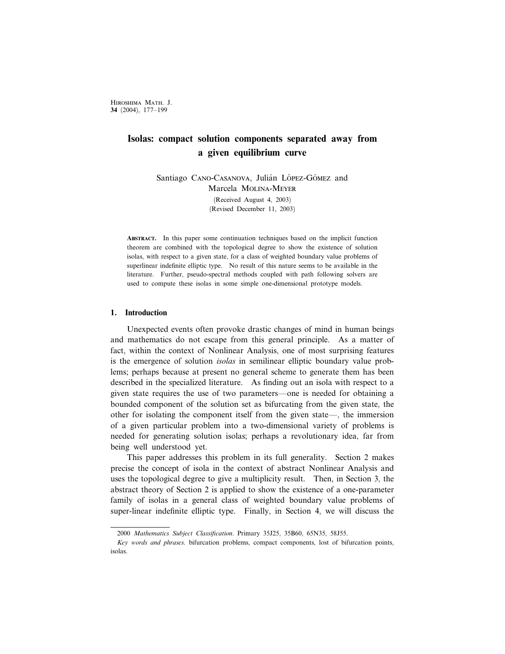Hiroshima Math. J. 34 (2004), 177–199

# Isolas: compact solution components separated away from a given equilibrium curve

Santiago CANO-CASANOVA, Julián LÓPEZ-GÓMEZ and Marcela Molina-Meyer (Received August 4, 2003) (Revised December 11, 2003)

Abstract. In this paper some continuation techniques based on the implicit function theorem are combined with the topological degree to show the existence of solution isolas, with respect to a given state, for a class of weighted boundary value problems of superlinear indefinite elliptic type. No result of this nature seems to be available in the literature. Further, pseudo-spectral methods coupled with path following solvers are used to compute these isolas in some simple one-dimensional prototype models.

## 1. Introduction

Unexpected events often provoke drastic changes of mind in human beings and mathematics do not escape from this general principle. As a matter of fact, within the context of Nonlinear Analysis, one of most surprising features is the emergence of solution isolas in semilinear elliptic boundary value problems; perhaps because at present no general scheme to generate them has been described in the specialized literature. As finding out an isola with respect to a given state requires the use of two parameters—one is needed for obtaining a bounded component of the solution set as bifurcating from the given state, the other for isolating the component itself from the given state—, the immersion of a given particular problem into a two-dimensional variety of problems is needed for generating solution isolas; perhaps a revolutionary idea, far from being well understood yet.

This paper addresses this problem in its full generality. Section 2 makes precise the concept of isola in the context of abstract Nonlinear Analysis and uses the topological degree to give a multiplicity result. Then, in Section 3, the abstract theory of Section 2 is applied to show the existence of a one-parameter family of isolas in a general class of weighted boundary value problems of super-linear indefinite elliptic type. Finally, in Section 4, we will discuss the

<sup>2000</sup> Mathematics Subject Classification. Primary 35J25, 35B60, 65N35, 58J55.

Key words and phrases. bifurcation problems, compact components, lost of bifurcation points, isolas.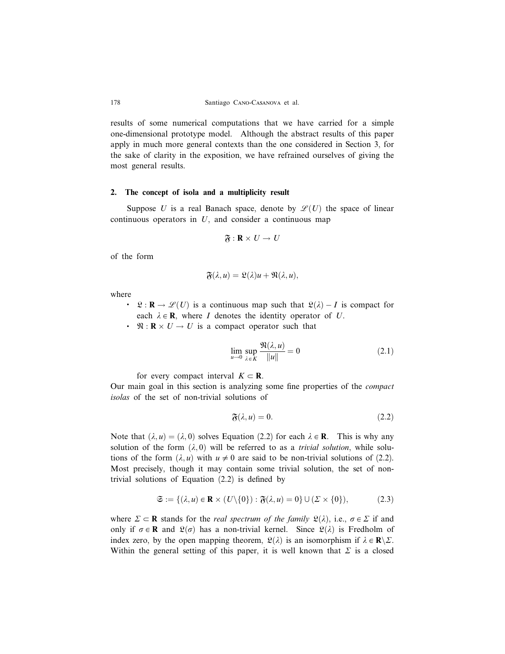results of some numerical computations that we have carried for a simple one-dimensional prototype model. Although the abstract results of this paper apply in much more general contexts than the one considered in Section 3, for the sake of clarity in the exposition, we have refrained ourselves of giving the most general results.

#### 2. The concept of isola and a multiplicity result

Suppose U is a real Banach space, denote by  $\mathcal{L}(U)$  the space of linear continuous operators in  $U$ , and consider a continuous map

$$
\mathfrak{F}:\mathbf{R}\times U\rightarrow U
$$

of the form

$$
\mathfrak{F}(\lambda, u) = \mathfrak{L}(\lambda)u + \mathfrak{N}(\lambda, u),
$$

where

- **0**  $\mathcal{Q}: \mathbf{R} \to \mathcal{L}(U)$  is a continuous map such that  $\mathcal{Q}(\lambda) I$  is compact for each  $\lambda \in \mathbf{R}$ , where I denotes the identity operator of U.
- $\cdot$   $\Re: \mathbb{R} \times U \to U$  is a compact operator such that

$$
\lim_{u \to 0} \sup_{\lambda \in K} \frac{\Re(\lambda, u)}{\|u\|} = 0
$$
\n(2.1)

for every compact interval  $K \subset \mathbf{R}$ .

Our main goal in this section is analyzing some fine properties of the compact isolas of the set of non-trivial solutions of

$$
\mathfrak{F}(\lambda, u) = 0. \tag{2.2}
$$

Note that  $(\lambda, u) = (\lambda, 0)$  solves Equation (2.2) for each  $\lambda \in \mathbb{R}$ . This is why any solution of the form  $(\lambda, 0)$  will be referred to as a *trivial solution*, while solutions of the form  $(\lambda, u)$  with  $u \neq 0$  are said to be non-trivial solutions of (2.2). Most precisely, though it may contain some trivial solution, the set of nontrivial solutions of Equation (2.2) is defined by

$$
\mathfrak{S} := \{ (\lambda, u) \in \mathbf{R} \times (U \setminus \{0\}) : \mathfrak{F}(\lambda, u) = 0 \} \cup (\Sigma \times \{0\}), \tag{2.3}
$$

where  $\Sigma \subset \mathbf{R}$  stands for the *real spectrum of the family*  $\mathfrak{L}(\lambda)$ , i.e.,  $\sigma \in \Sigma$  if and only if  $\sigma \in \mathbf{R}$  and  $\mathfrak{L}(\sigma)$  has a non-trivial kernel. Since  $\mathfrak{L}(\lambda)$  is Fredholm of index zero, by the open mapping theorem,  $\mathfrak{L}(\lambda)$  is an isomorphism if  $\lambda \in \mathbb{R} \setminus \Sigma$ . Within the general setting of this paper, it is well known that  $\Sigma$  is a closed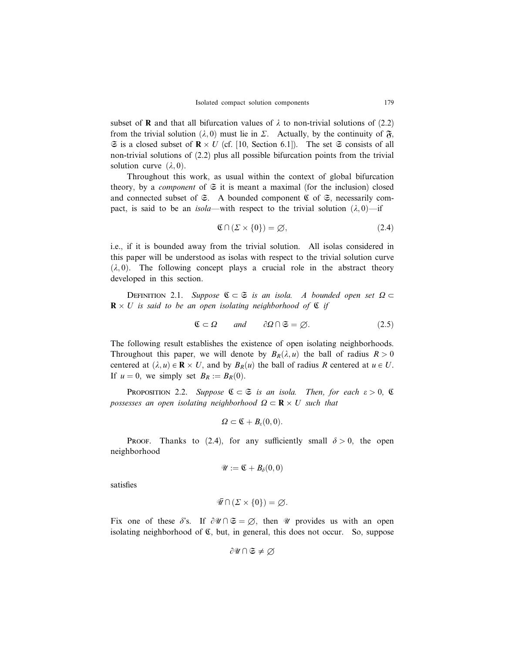subset of **R** and that all bifurcation values of  $\lambda$  to non-trivial solutions of (2.2) from the trivial solution  $(\lambda, 0)$  must lie in  $\Sigma$ . Actually, by the continuity of  $\mathfrak{F}$ ,  $\Im$  is a closed subset of  $\mathbb{R} \times U$  (cf. [10, Section 6.1]). The set  $\Im$  consists of all non-trivial solutions of (2.2) plus all possible bifurcation points from the trivial solution curve  $(\lambda, 0)$ .

Throughout this work, as usual within the context of global bifurcation theory, by a *component* of  $\mathfrak{S}$  it is meant a maximal (for the inclusion) closed and connected subset of  $\mathfrak{S}$ . A bounded component  $\mathfrak{C}$  of  $\mathfrak{S}$ , necessarily compact, is said to be an *isola*—with respect to the trivial solution  $(\lambda, 0)$ —if

$$
\mathfrak{C} \cap (\Sigma \times \{0\}) = \varnothing,\tag{2.4}
$$

i.e., if it is bounded away from the trivial solution. All isolas considered in this paper will be understood as isolas with respect to the trivial solution curve  $(\lambda, 0)$ . The following concept plays a crucial role in the abstract theory developed in this section.

DEFINITION 2.1. Suppose  $\mathfrak{C}\subset\mathfrak{S}$  is an isola. A bounded open set  $\Omega\subset$  $\mathbf{R} \times U$  is said to be an open isolating neighborhood of  $\mathfrak C$  if

$$
\mathfrak{C} \subset \Omega \qquad \text{and} \qquad \partial \Omega \cap \mathfrak{S} = \varnothing. \tag{2.5}
$$

The following result establishes the existence of open isolating neighborhoods. Throughout this paper, we will denote by  $B_R(\lambda, u)$  the ball of radius  $R > 0$ centered at  $(\lambda, u) \in \mathbf{R} \times U$ , and by  $B_R(u)$  the ball of radius R centered at  $u \in U$ . If  $u = 0$ , we simply set  $B_R := B_R(0)$ .

PROPOSITION 2.2. Suppose  $\mathfrak{C} \subset \mathfrak{S}$  is an isola. Then, for each  $\varepsilon > 0$ ,  $\mathfrak{C}$ possesses an open isolating neighborhood  $\Omega \subset \mathbf{R} \times U$  such that

$$
\Omega\subset \mathfrak{C}+B_{\varepsilon}(0,0).
$$

PROOF. Thanks to (2.4), for any sufficiently small  $\delta > 0$ , the open neighborhood

$$
\mathscr{U}:=\mathfrak{C}+B_{\delta}(0,0)
$$

satisfies

$$
\overline{\mathscr{U}} \cap (\Sigma \times \{0\}) = \varnothing.
$$

Fix one of these  $\delta$ 's. If  $\partial \mathscr{U} \cap \mathfrak{S} = \emptyset$ , then  $\mathscr{U}$  provides us with an open isolating neighborhood of  $\mathfrak{C}$ , but, in general, this does not occur. So, suppose

$$
\partial\mathscr{U}\cap\mathfrak{S}\neq\varnothing
$$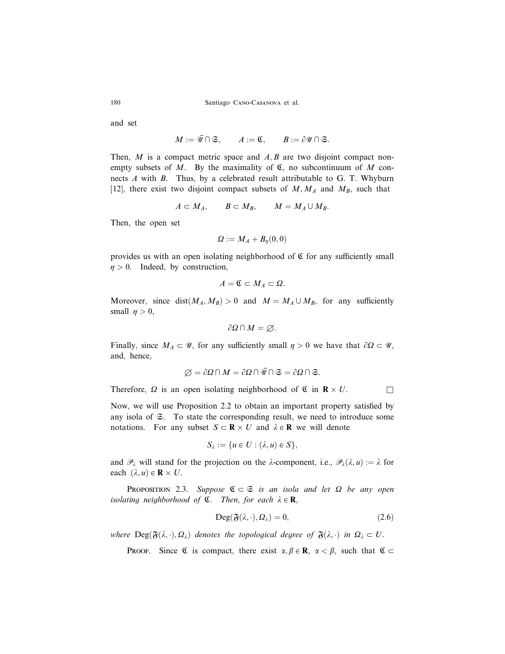and set

 $M := \overline{\mathscr{U}} \cap \mathfrak{S}, \qquad A := \mathfrak{C}, \qquad B := \partial \mathscr{U} \cap \mathfrak{S}.$ 

Then,  $M$  is a compact metric space and  $A, B$  are two disjoint compact nonempty subsets of M. By the maximality of  $\mathfrak C$ , no subcontinuum of M connects A with B. Thus, by a celebrated result attributable to G. T. Whyburn [12], there exist two disjoint compact subsets of  $M, M_A$  and  $M_B$ , such that

$$
A\subset M_A, \qquad B\subset M_B, \qquad M=M_A\cup M_B.
$$

Then, the open set

$$
\varOmega:=M_A+B_\eta(0,0)
$$

provides us with an open isolating neighborhood of  $\mathfrak C$  for any sufficiently small  $\eta > 0$ . Indeed, by construction,

$$
A=\mathfrak{C}\subset M_A\subset\Omega.
$$

Moreover, since dist $(M_A, M_B) > 0$  and  $M = M_A \cup M_B$ , for any sufficiently small  $n > 0$ ,

$$
\partial\Omega\cap M=\varnothing.
$$

Finally, since  $M_A \subset \mathcal{U}$ , for any sufficiently small  $\eta > 0$  we have that  $\partial \Omega \subset \mathcal{U}$ , and, hence,

$$
\varnothing = \partial\Omega \cap M = \partial\Omega \cap \overline{\mathscr{U}} \cap \mathfrak{S} = \partial\Omega \cap \mathfrak{S}.
$$

Therefore,  $\Omega$  is an open isolating neighborhood of  $\mathfrak C$  in  $\mathbb R \times U$ .

Now, we will use Proposition 2.2 to obtain an important property satisfied by any isola of S. To state the corresponding result, we need to introduce some notations. For any subset  $S \subset \mathbf{R} \times U$  and  $\lambda \in \mathbf{R}$  we will denote

$$
S_{\lambda} := \{u \in U : (\lambda, u) \in S\},\
$$

and  $\mathcal{P}_\lambda$  will stand for the projection on the  $\lambda$ -component, i.e.,  $\mathcal{P}_\lambda(\lambda, u) := \lambda$  for each  $(\lambda, u) \in \mathbf{R} \times U$ .

**PROPOSITION** 2.3. Suppose  $\mathfrak{C} \subset \mathfrak{S}$  is an isola and let  $\Omega$  be any open isolating neighborhood of  $\mathfrak{C}$ . Then, for each  $\lambda \in \mathbf{R}$ ,

$$
Deg(\mathfrak{F}(\lambda,\cdot),\Omega_\lambda)=0,\t(2.6)
$$

where  $\text{Deg}(\mathfrak{F}(\lambda, \cdot), \Omega_\lambda)$  denotes the topological degree of  $\mathfrak{F}(\lambda, \cdot)$  in  $\Omega_\lambda \subset U$ .

**PROOF.** Since  $\mathfrak{C}$  is compact, there exist  $\alpha, \beta \in \mathbb{R}$ ,  $\alpha < \beta$ , such that  $\mathfrak{C} \subset$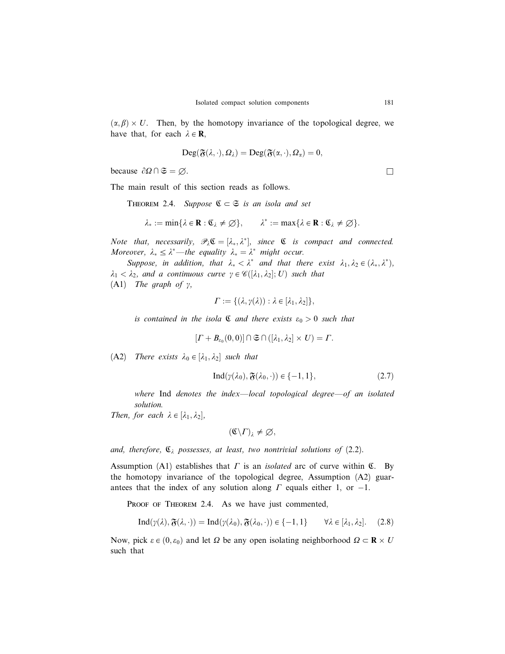$(\alpha, \beta) \times U$ . Then, by the homotopy invariance of the topological degree, we have that, for each  $\lambda \in \mathbf{R}$ ,

$$
\text{Deg}(\mathfrak{F}(\lambda,\cdot),\Omega_\lambda)=\text{Deg}(\mathfrak{F}(\alpha,\cdot),\Omega_\alpha)=0,
$$

because  $\partial\Omega \cap \mathfrak{S} = \emptyset$ .

The main result of this section reads as follows.

THEOREM 2.4. Suppose  $\mathfrak{C} \subset \mathfrak{S}$  is an isola and set

$$
\lambda_* := \min \{ \lambda \in \mathbf{R} : \mathfrak{C}_{\lambda} \neq \emptyset \}, \qquad \lambda^* := \max \{ \lambda \in \mathbf{R} : \mathfrak{C}_{\lambda} \neq \emptyset \}.
$$

Note that, necessarily,  $\mathscr{P}_{\lambda} \mathfrak{C} = [\lambda_*, \lambda^*]$ , since  $\mathfrak{C}$  is compact and connected. Moreover,  $\lambda_* \leq \lambda^*$ —the equality  $\lambda_* = \lambda^*$  might occur.

Suppose, in addition, that  $\lambda_* < \lambda^*$  and that there exist  $\lambda_1, \lambda_2 \in (\lambda_*, \lambda^*),$  $\lambda_1 < \lambda_2$ , and a continuous curve  $\gamma \in \mathscr{C}([\lambda_1, \lambda_2]; U)$  such that (A1) The graph of  $\gamma$ ,

$$
\Gamma := \{(\lambda, \gamma(\lambda)) : \lambda \in [\lambda_1, \lambda_2]\},\
$$

is contained in the isola  $\mathfrak C$  and there exists  $\varepsilon_0 > 0$  such that

$$
[ \Gamma + B_{\varepsilon_0}(0,0)] \cap \mathfrak{S} \cap ([\lambda_1, \lambda_2] \times U) = \Gamma.
$$

(A2) There exists  $\lambda_0 \in [\lambda_1, \lambda_2]$  such that

$$
Ind(\gamma(\lambda_0), \mathfrak{F}(\lambda_0, \cdot)) \in \{-1, 1\},\tag{2.7}
$$

where Ind denotes the index—local topological degree—of an isolated solution.

Then, for each  $\lambda \in [\lambda_1, \lambda_2]$ ,

$$
(\mathfrak{C}\backslash\varGamma)_\lambda\neq\varnothing,
$$

and, therefore,  $\mathfrak{C}_{\lambda}$  possesses, at least, two nontrivial solutions of (2.2).

Assumption (A1) establishes that  $\Gamma$  is an *isolated* arc of curve within  $\mathfrak{C}$ . By the homotopy invariance of the topological degree, Assumption (A2) guarantees that the index of any solution along  $\Gamma$  equals either 1, or  $-1$ .

PROOF OF THEOREM 2.4. As we have just commented,

$$
Ind(\gamma(\lambda), \mathfrak{F}(\lambda, \cdot)) = Ind(\gamma(\lambda_0), \mathfrak{F}(\lambda_0, \cdot)) \in \{-1, 1\} \qquad \forall \lambda \in [\lambda_1, \lambda_2].
$$
 (2.8)

Now, pick  $\varepsilon \in (0,\varepsilon_0)$  and let  $\Omega$  be any open isolating neighborhood  $\Omega \subset \mathbf{R} \times U$ such that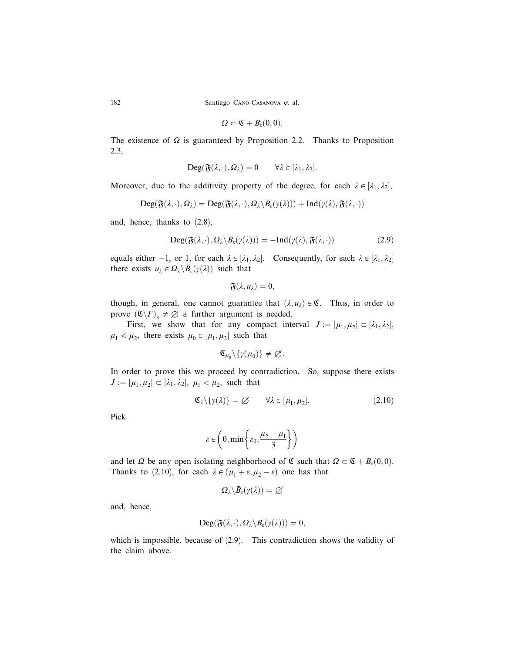$$
\Omega\subset \mathfrak{C}+B_{\varepsilon}(0,0).
$$

The existence of  $\Omega$  is guaranteed by Proposition 2.2. Thanks to Proposition 2.3,

$$
\mathrm{Deg}(\mathfrak{F}(\lambda,\cdot),\Omega_\lambda)=0\qquad\forall\lambda\in[\lambda_1,\lambda_2].
$$

Moreover, due to the additivity property of the degree, for each  $\lambda \in [\lambda_1, \lambda_2]$ ,

$$
Deg(\mathfrak{F}(\lambda,\cdot),\Omega_\lambda)=Deg(\mathfrak{F}(\lambda,\cdot),\Omega_\lambda\backslash\overline{B}_\varepsilon(\gamma(\lambda)))+\mathrm{Ind}(\gamma(\lambda),\mathfrak{F}(\lambda,\cdot))
$$

and, hence, thanks to (2.8),

$$
\text{Deg}(\mathfrak{F}(\lambda,\cdot),\Omega_\lambda\backslash\bar{B}_\varepsilon(\gamma(\lambda)))=-\text{Ind}(\gamma(\lambda),\mathfrak{F}(\lambda,\cdot))\tag{2.9}
$$

equals either  $-1$ , or 1, for each  $\lambda \in [\lambda_1, \lambda_2]$ . Consequently, for each  $\lambda \in [\lambda_1, \lambda_2]$ there exists  $u_{\lambda} \in \Omega_{\lambda} \backslash \overline{B}_{\varepsilon}(\gamma(\lambda))$  such that

$$
\mathfrak{F}(\lambda,u_\lambda)=0,
$$

though, in general, one cannot guarantee that  $(\lambda, u_\lambda) \in \mathfrak{C}$ . Thus, in order to prove  $(\mathfrak{C}\backslash\Gamma)_{\lambda}\neq\emptyset$  a further argument is needed.

First, we show that for any compact interval  $J := [\mu_1, \mu_2] \subset [\lambda_1, \lambda_2],$  $\mu_1 < \mu_2$ , there exists  $\mu_0 \in [\mu_1, \mu_2]$  such that

$$
\mathfrak{C}_{\mu_0}\backslash\{\gamma(\mu_0)\}\neq\varnothing.
$$

In order to prove this we proceed by contradiction. So, suppose there exists  $J := [\mu_1, \mu_2] \subset [\lambda_1, \lambda_2], \mu_1 < \mu_2$ , such that

$$
\mathfrak{C}_{\lambda}\backslash\{\gamma(\lambda)\}=\varnothing \qquad \forall \lambda\in[\mu_1,\mu_2].\tag{2.10}
$$

Pick

$$
\varepsilon \in \left(0, \min\left\{\varepsilon_0, \frac{\mu_2 - \mu_1}{3}\right\}\right)
$$

and let  $\Omega$  be any open isolating neighborhood of  $\mathfrak C$  such that  $\Omega \subset \mathfrak C + B_{\varepsilon}(0,0)$ . Thanks to (2.10), for each  $\lambda \in (\mu_1 + \varepsilon, \mu_2 - \varepsilon)$  one has that

$$
\varOmega_\lambda\backslash\bar B_\varepsilon(\gamma(\lambda))=\varnothing
$$

and, hence,

$$
\mathrm{Deg}(\mathfrak{F}(\lambda,\cdot),\Omega_\lambda\backslash\bar{B}_\varepsilon(\gamma(\lambda)))=0,
$$

which is impossible, because of (2.9). This contradiction shows the validity of the claim above.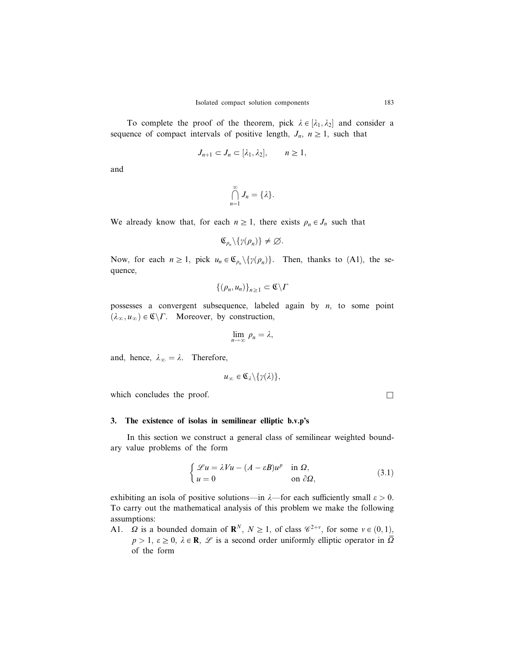To complete the proof of the theorem, pick  $\lambda \in [\lambda_1, \lambda_2]$  and consider a sequence of compact intervals of positive length,  $J_n$ ,  $n \geq 1$ , such that

$$
J_{n+1} \subset J_n \subset [\lambda_1, \lambda_2], \qquad n \ge 1,
$$

and

$$
\bigcap_{n=1}^{\infty} J_n = \{\lambda\}.
$$

We already know that, for each  $n \geq 1$ , there exists  $\rho_n \in J_n$  such that

$$
\mathfrak{C}_{\rho_n}\backslash\{\gamma(\rho_n)\}\neq\varnothing.
$$

Now, for each  $n \geq 1$ , pick  $u_n \in \mathfrak{C}_{\rho_n} \setminus {\gamma(\rho_n)}$ . Then, thanks to (A1), the sequence,

$$
\{(\rho_n, u_n)\}_{n\geq 1} \subset \mathfrak{C} \backslash \Gamma
$$

possesses a convergent subsequence, labeled again by  $n$ , to some point  $(\lambda_{\infty}, u_{\infty}) \in \mathfrak{C} \backslash \Gamma$ . Moreover, by construction,

$$
\lim_{n\to\infty}\rho_n=\lambda,
$$

and, hence,  $\lambda_{\infty} = \lambda$ . Therefore,

$$
u_{\infty} \in \mathfrak{C}_{\lambda} \backslash \{ \gamma(\lambda) \},
$$

which concludes the proof.  $\Box$ 

## 3. The existence of isolas in semilinear elliptic b.v.p's

In this section we construct a general class of semilinear weighted boundary value problems of the form

$$
\begin{cases}\n\mathcal{L}u = \lambda Vu - (A - \varepsilon B)u^p & \text{in } \Omega, \\
u = 0 & \text{on } \partial\Omega,\n\end{cases}
$$
\n(3.1)

exhibiting an isola of positive solutions—in  $\lambda$ —for each sufficiently small  $\varepsilon > 0$ . To carry out the mathematical analysis of this problem we make the following assumptions:

A1.  $\Omega$  is a bounded domain of  $\mathbb{R}^N$ ,  $N \geq 1$ , of class  $\mathscr{C}^{2+\nu}$ , for some  $\nu \in (0,1)$ ,  $p > 1$ ,  $\varepsilon \ge 0$ ,  $\lambda \in \mathbb{R}$ ,  $\mathscr{L}$  is a second order uniformly elliptic operator in  $\overline{\Omega}$ of the form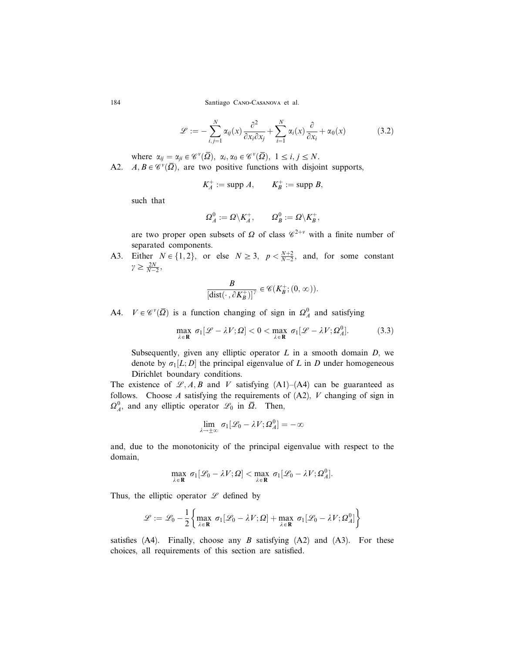$$
\mathcal{L} := -\sum_{i,j=1}^{N} \alpha_{ij}(x) \frac{\partial^2}{\partial x_i \partial x_j} + \sum_{i=1}^{N} \alpha_i(x) \frac{\partial}{\partial x_i} + \alpha_0(x) \tag{3.2}
$$

where  $\alpha_{ij} = \alpha_{ji} \in \mathscr{C}^{\nu}(\overline{\Omega}), \alpha_i, \alpha_0 \in \mathscr{C}^{\nu}(\overline{\Omega}), 1 \leq i, j \leq N.$ 

A2.  $A, B \in \mathscr{C}^{\nu}(\overline{\Omega})$ , are two positive functions with disjoint supports,

$$
K_A^+ := \text{supp } A, \qquad K_B^+ := \text{supp } B,
$$

such that

$$
\varOmega^0_A:=\varOmega\backslash K^+_A,\qquad \varOmega^0_B:=\varOmega\backslash K^+_B,
$$

are two proper open subsets of  $\Omega$  of class  $\mathscr{C}^{2+\nu}$  with a finite number of separated components.

A3. Either  $N \in \{1, 2\}$ , or else  $N \ge 3$ ,  $p < \frac{N+2}{N-2}$ , and, for some constant  $\gamma \geq \frac{2N}{N-2},$ 

$$
\frac{B}{[\text{dist}(\cdot\,,\partial K_B^+)]^\gamma}\in\mathscr{C}(K_B^+;(0,\infty)).
$$

A4.  $V \in \mathscr{C}^{\nu}(\overline{\Omega})$  is a function changing of sign in  $\Omega_A^0$  and satisfying

$$
\max_{\lambda \in \mathbf{R}} \sigma_1[\mathcal{L} - \lambda V; \Omega] < 0 < \max_{\lambda \in \mathbf{R}} \sigma_1[\mathcal{L} - \lambda V; \Omega_A^0].\tag{3.3}
$$

Subsequently, given any elliptic operator  $L$  in a smooth domain  $D$ , we denote by  $\sigma_1[L; D]$  the principal eigenvalue of L in D under homogeneous Dirichlet boundary conditions.

The existence of  $\mathcal{L}, A, B$  and V satisfying (A1)–(A4) can be guaranteed as follows. Choose A satisfying the requirements of  $(A2)$ , V changing of sign in  $\Omega_A^0$ , and any elliptic operator  $\mathscr{L}_0$  in  $\overline{\Omega}$ . Then,

$$
\lim_{\lambda\to\pm\infty}\,\sigma_1[\mathscr{L}_0-\lambda V;\Omega^0_A]=-\infty
$$

and, due to the monotonicity of the principal eigenvalue with respect to the domain,

$$
\max_{\lambda \in \mathbf{R}} \; \sigma_1[\mathscr{L}_0 - \lambda V; \Omega] < \max_{\lambda \in \mathbf{R}} \; \sigma_1[\mathscr{L}_0 - \lambda V; \Omega_A^0].
$$

Thus, the elliptic operator  $\mathscr L$  defined by

$$
\mathscr{L} := \mathscr{L}_0 - \frac{1}{2} \left\{ \max_{\lambda \in \mathbf{R}} \sigma_1[\mathscr{L}_0 - \lambda V; \Omega] + \max_{\lambda \in \mathbf{R}} \sigma_1[\mathscr{L}_0 - \lambda V; \Omega_A^0] \right\}
$$

satisfies  $(A4)$ . Finally, choose any B satisfying  $(A2)$  and  $(A3)$ . For these choices, all requirements of this section are satisfied.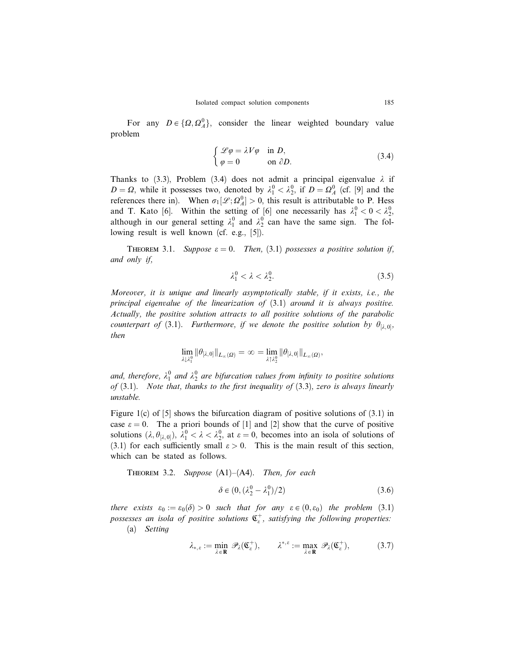For any  $D \in \{\Omega, \Omega_A^0\}$ , consider the linear weighted boundary value problem

$$
\begin{cases}\n\mathcal{L}\varphi = \lambda V \varphi & \text{in } D, \\
\varphi = 0 & \text{on } \partial D.\n\end{cases}
$$
\n(3.4)

Thanks to (3.3), Problem (3.4) does not admit a principal eigenvalue  $\lambda$  if  $D = \Omega$ , while it possesses two, denoted by  $\lambda_1^0 < \lambda_2^0$ , if  $D = \Omega_A^0$  (cf. [9] and the references there in). When  $\sigma_1[\mathcal{L}; \Omega_A^0] > 0$ , this result is attributable to P. Hess and T. Kato [6]. Within the setting of [6] one necessarily has  $\lambda_1^0 < 0 < \lambda_2^0$ , although in our general setting  $\lambda_1^0$  and  $\lambda_2^0$  can have the same sign. The following result is well known (cf. e.g., [5]).

THEOREM 3.1. Suppose  $\varepsilon = 0$ . Then, (3.1) possesses a positive solution if, and only if,

$$
\lambda_1^0 < \lambda < \lambda_2^0. \tag{3.5}
$$

Moreover, it is unique and linearly asymptotically stable, if it exists, i.e., the principal eigenvalue of the linearization of (3.1) around it is always positive. Actually, the positive solution attracts to all positive solutions of the parabolic counterpart of (3.1). Furthermore, if we denote the positive solution by  $\theta_{\lbrack \lambda,0\rbrack}$ , then

$$
\lim_{\lambda\downarrow\lambda_1^0} \|\theta_{[\lambda,0]}\|_{L_\infty(\Omega)} = \infty = \lim_{\lambda\uparrow\lambda_2^0} \|\theta_{[\lambda,0]}\|_{L_\infty(\Omega)},
$$

and, therefore,  $\lambda_1^0$  and  $\lambda_2^0$  are bifurcation values from infinity to positive solutions of  $(3.1)$ . Note that, thanks to the first inequality of  $(3.3)$ , zero is always linearly unstable.

Figure 1(c) of  $[5]$  shows the bifurcation diagram of positive solutions of  $(3.1)$  in case  $\varepsilon = 0$ . The a priori bounds of [1] and [2] show that the curve of positive solutions  $(\lambda, \theta_{[\lambda,0]})$ ,  $\lambda_1^0 < \lambda < \lambda_2^0$ , at  $\varepsilon = 0$ , becomes into an isola of solutions of (3.1) for each sufficiently small  $\varepsilon > 0$ . This is the main result of this section, which can be stated as follows.

THEOREM 3.2. Suppose  $(A1)–(A4)$ . Then, for each

$$
\delta \in (0, \left(\lambda_2^0 - \lambda_1^0\right)/2) \tag{3.6}
$$

there exists  $\varepsilon_0 := \varepsilon_0(\delta) > 0$  such that for any  $\varepsilon \in (0,\varepsilon_0)$  the problem (3.1) possesses an isola of positive solutions  $\mathfrak{C}^+_{{\varepsilon}},$  satisfying the following properties:

(a) Setting

$$
\lambda_{*,\varepsilon} := \min_{\lambda \in \mathbf{R}} \ \mathscr{P}_{\lambda}(\mathfrak{C}_{\varepsilon}^+), \qquad \lambda^{*,\varepsilon} := \max_{\lambda \in \mathbf{R}} \ \mathscr{P}_{\lambda}(\mathfrak{C}_{\varepsilon}^+), \tag{3.7}
$$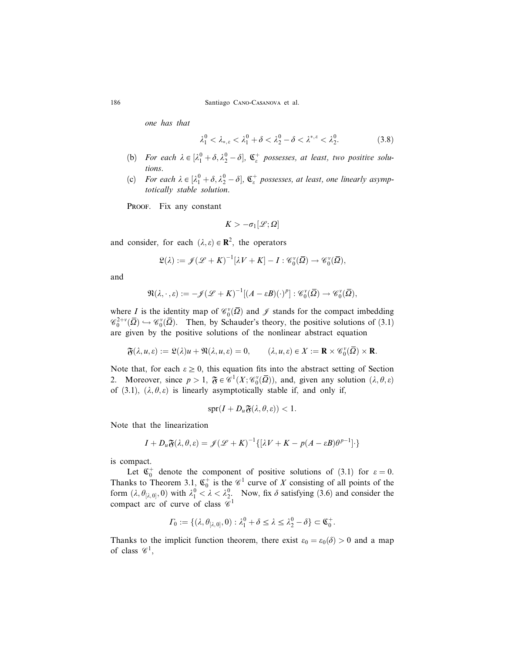one has that

$$
\lambda_1^0 < \lambda_{*,\varepsilon} < \lambda_1^0 + \delta < \lambda_2^0 - \delta < \lambda^{*,\varepsilon} < \lambda_2^0. \tag{3.8}
$$

- (b) For each  $\lambda \in [\lambda_1^0 + \delta, \lambda_2^0 \delta]$ ,  $\mathfrak{C}_{\varepsilon}^+$  possesses, at least, two positive solutions.
- (c) For each  $\lambda \in [\lambda_1^0 + \delta, \lambda_2^0 \delta]$ ,  $\mathfrak{C}_\varepsilon^+$  possesses, at least, one linearly asymptotically stable solution.

PROOF. Fix any constant

$$
K > -\sigma_1[\mathscr{L};\Omega]
$$

and consider, for each  $(\lambda, \varepsilon) \in \mathbb{R}^2$ , the operators

$$
\mathfrak{L}(\lambda) := \mathscr{J}(\mathscr{L} + K)^{-1}[\lambda V + K] - I : \mathscr{C}_0^v(\overline{\Omega}) \to \mathscr{C}_0^v(\overline{\Omega}),
$$

and

$$
\mathfrak{N}(\lambda,\cdot,\varepsilon):=-\mathscr{J}(\mathscr{L}+K)^{-1}[(A-\varepsilon B)(\cdot)^p]:\mathscr{C}_0^v(\overline{\Omega})\to\mathscr{C}_0^v(\overline{\Omega}),
$$

where *I* is the identity map of  $\mathcal{C}_0^{\nu}(\overline{\Omega})$  and  $\mathcal{J}$  stands for the compact imbedding  $\mathscr{C}_0^{2+\nu}(\overline{\Omega}) \hookrightarrow \mathscr{C}_0^{\nu}(\overline{\Omega})$ . Then, by Schauder's theory, the positive solutions of (3.1) are given by the positive solutions of the nonlinear abstract equation

$$
\mathfrak{F}(\lambda,u,\varepsilon):=\mathfrak{L}(\lambda)u+\mathfrak{N}(\lambda,u,\varepsilon)=0, \qquad (\lambda,u,\varepsilon)\in X:=\mathbf{R}\times \mathscr{C}_0^v(\overline{\varOmega})\times \mathbf{R}.
$$

Note that, for each  $\varepsilon \ge 0$ , this equation fits into the abstract setting of Section 2. Moreover, since  $p > 1$ ,  $\mathfrak{F} \in \mathscr{C}^1(X; \mathscr{C}_0(\overline{\Omega}))$ , and, given any solution  $(\lambda, \theta, \varepsilon)$ of (3.1),  $(\lambda, \theta, \varepsilon)$  is linearly asymptotically stable if, and only if,

$$
\text{spr}(I + D_u \mathfrak{F}(\lambda, \theta, \varepsilon)) < 1.
$$

Note that the linearization

$$
I + D_u \mathfrak{F}(\lambda, \theta, \varepsilon) = \mathcal{J}(\mathcal{L} + K)^{-1} \{ [\lambda V + K - p(A - \varepsilon B)\theta^{p-1}] \}.
$$

is compact.

Let  $\mathfrak{C}_0^+$  denote the component of positive solutions of (3.1) for  $\varepsilon = 0$ . Thanks to Theorem 3.1,  $\mathfrak{C}_0^+$  is the  $\mathscr{C}_1^1$  curve of X consisting of all points of the form  $(\lambda, \theta_{[\lambda,0]}, 0)$  with  $\lambda_1^0 < \lambda < \lambda_2^0$ . Now, fix  $\delta$  satisfying (3.6) and consider the compact arc of curve of class  $\mathscr{C}^1$ 

$$
\Gamma_0 := \{ (\lambda, \theta_{[\lambda,0]}, 0) : \lambda_1^0 + \delta \le \lambda \le \lambda_2^0 - \delta \} \subset \mathfrak{C}_0^+.
$$

Thanks to the implicit function theorem, there exist  $\varepsilon_0 = \varepsilon_0(\delta) > 0$  and a map of class  $\mathscr{C}^1$ ,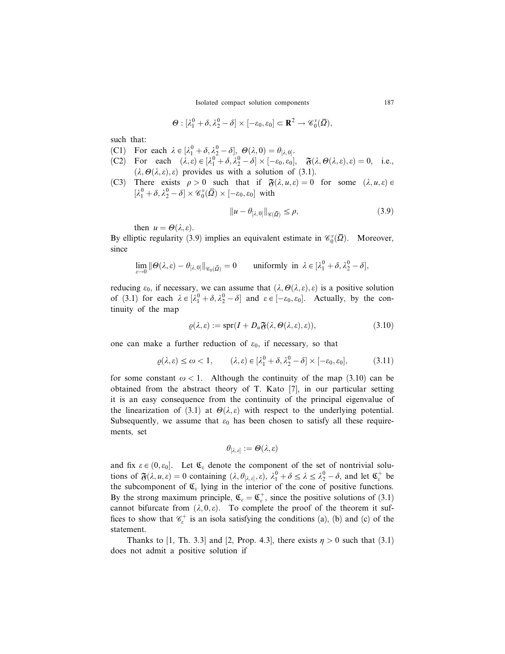$$
\Theta : [\lambda_1^0 + \delta, \lambda_2^0 - \delta] \times [-\varepsilon_0, \varepsilon_0] \subset \mathbf{R}^2 \to \mathscr{C}_0^{\nu}(\overline{\Omega}),
$$

such that:

- (C1) For each  $\lambda \in [\lambda_1^0 + \delta, \lambda_2^0 \delta], \Theta(\lambda, 0) = \theta_{[\lambda, 0]}.$
- (C2) For each  $(\lambda, \varepsilon) \in [\lambda_1^0 + \delta, \lambda_2^0 \delta] \times [-\varepsilon_0, \varepsilon_0], \quad \mathfrak{F}(\lambda, \Theta(\lambda, \varepsilon), \varepsilon) = 0, \text{ i.e.,}$  $(\lambda, \Theta(\lambda, \varepsilon), \varepsilon)$  provides us with a solution of (3.1).
- (C3) There exists  $\rho > 0$  such that if  $\mathfrak{F}(\lambda, u, \varepsilon) = 0$  for some  $(\lambda, u, \varepsilon) \in$  $[\lambda_1^0 + \delta, \lambda_2^0 - \delta] \times \mathscr{C}_0^{\nu}(\overline{\Omega}) \times [-\varepsilon_0, \varepsilon_0]$  with

$$
||u - \theta_{[\lambda,0]}||_{\mathscr{C}(\overline{\Omega})} \le \rho,\tag{3.9}
$$

then  $u = \Theta(\lambda, \varepsilon)$ .

By elliptic regularity (3.9) implies an equivalent estimate in  $\mathcal{C}_0^{\nu}(\overline{\Omega})$ . Moreover, since

$$
\lim_{\varepsilon \to 0} \|\Theta(\lambda, \varepsilon) - \theta_{[\lambda, 0]}\|_{\mathscr{C}_0(\bar{\Omega})} = 0 \quad \text{ uniformly in } \lambda \in [\lambda_1^0 + \delta, \lambda_2^0 - \delta],
$$

reducing  $\varepsilon_0$ , if necessary, we can assume that  $(\lambda, \Theta(\lambda, \varepsilon), \varepsilon)$  is a positive solution of (3.1) for each  $\lambda \in [\lambda_1^0 + \delta, \lambda_2^0 - \delta]$  and  $\varepsilon \in [-\varepsilon_0, \varepsilon_0]$ . Actually, by the continuity of the map

$$
\varrho(\lambda,\varepsilon) := \text{spr}(I + D_u \mathfrak{F}(\lambda,\Theta(\lambda,\varepsilon),\varepsilon)),\tag{3.10}
$$

one can make a further reduction of  $\varepsilon_0$ , if necessary, so that

$$
\varrho(\lambda,\varepsilon) \le \omega < 1, \qquad (\lambda,\varepsilon) \in [\lambda_1^0 + \delta, \lambda_2^0 - \delta] \times [-\varepsilon_0, \varepsilon_0], \tag{3.11}
$$

for some constant  $\omega < 1$ . Although the continuity of the map (3.10) can be obtained from the abstract theory of T. Kato [7], in our particular setting it is an easy consequence from the continuity of the principal eigenvalue of the linearization of (3.1) at  $\Theta(\lambda, \varepsilon)$  with respect to the underlying potential. Subsequently, we assume that  $\varepsilon_0$  has been chosen to satisfy all these requirements, set

$$
\theta_{[\lambda,\,\varepsilon]}:=\boldsymbol{\varTheta}(\lambda,\varepsilon)
$$

and fix  $\varepsilon \in (0, \varepsilon_0]$ . Let  $\mathfrak{C}_{\varepsilon}$  denote the component of the set of nontrivial solutions of  $\mathfrak{F}(\lambda, u, \varepsilon) = 0$  containing  $(\lambda, \theta_{[\lambda, \varepsilon]}, \varepsilon), \lambda_1^0 + \delta \leq \lambda \leq \lambda_2^0 - \delta$ , and let  $\mathfrak{C}_{\varepsilon}^+$  be the subcomponent of  $\mathfrak{C}_{\varepsilon}$  lying in the interior of the cone of positive functions. By the strong maximum principle,  $\mathfrak{C}_{\varepsilon} = \mathfrak{C}_{\varepsilon}^+$ , since the positive solutions of (3.1) cannot bifurcate from  $(\lambda, 0, \varepsilon)$ . To complete the proof of the theorem it suffices to show that  $\mathcal{C}_\varepsilon^+$  is an isola satisfying the conditions (a), (b) and (c) of the statement.

Thanks to [1, Th. 3.3] and [2, Prop. 4.3], there exists  $\eta > 0$  such that (3.1) does not admit a positive solution if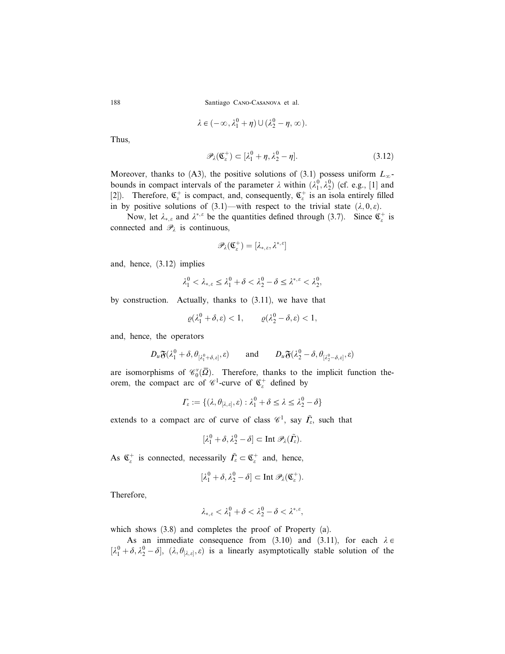$$
\lambda \in (-\infty, \lambda_1^0 + \eta) \cup (\lambda_2^0 - \eta, \infty).
$$

Thus,

$$
\mathscr{P}_{\lambda}(\mathfrak{C}_{\varepsilon}^{+}) \subset [\lambda_{1}^{0} + \eta, \lambda_{2}^{0} - \eta]. \tag{3.12}
$$

Moreover, thanks to (A3), the positive solutions of (3.1) possess uniform  $L_{\infty}$ bounds in compact intervals of the parameter  $\lambda$  within  $(\lambda_1^0, \lambda_2^0)$  (cf. e.g., [1] and [2]). Therefore,  $\mathfrak{C}_{\varepsilon}^+$  is compact, and, consequently,  $\mathfrak{C}_{\varepsilon}^+$  is an isola entirely filled in by positive solutions of (3.1)—with respect to the trivial state  $(\lambda, 0, \varepsilon)$ .

Now, let  $\lambda_{*,\varepsilon}$  and  $\lambda^{*,\varepsilon}$  be the quantities defined through (3.7). Since  $\mathfrak{C}^+_{\varepsilon}$  is connected and  $\mathcal{P}_{\lambda}$  is continuous,

$$
\mathscr{P}_\lambda(\mathfrak{C}_\varepsilon^+)= [\lambda_{*,\varepsilon},\lambda^{*,\varepsilon}]
$$

and, hence, (3.12) implies

$$
\lambda_1^0 < \lambda_{*,\varepsilon} \le \lambda_1^0 + \delta < \lambda_2^0 - \delta \le \lambda^{*,\varepsilon} < \lambda_2^0,
$$

by construction. Actually, thanks to (3.11), we have that

$$
\varrho(\lambda_1^0+\delta,\varepsilon)<1,\qquad \varrho(\lambda_2^0-\delta,\varepsilon)<1,
$$

and, hence, the operators

$$
D_u \mathfrak{F}(\lambda_1^0 + \delta, \theta_{[\lambda_1^0 + \delta, \varepsilon]}, \varepsilon) \quad \text{and} \quad D_u \mathfrak{F}(\lambda_2^0 - \delta, \theta_{[\lambda_2^0 - \delta, \varepsilon]}, \varepsilon)
$$

are isomorphisms of  $\mathcal{C}_0^{\nu}(\overline{\Omega})$ . Therefore, thanks to the implicit function theorem, the compact arc of  $\mathscr{C}_1^1$ -curve of  $\mathfrak{C}_\varepsilon^+$  defined by

$$
\varGamma_\varepsilon:=\{(\lambda,\theta_{[\lambda,\varepsilon]},\varepsilon):\lambda^0_1+\delta\leq\lambda\leq\lambda^0_2-\delta\}
$$

extends to a compact arc of curve of class  $\mathscr{C}^1$ , say  $\tilde{\Gamma}_\varepsilon$ , such that

$$
[\lambda_1^0 + \delta, \lambda_2^0 - \delta] \subset \text{Int } \mathscr{P}_{\lambda}(\tilde{\Gamma}_{\varepsilon}).
$$

As  $\mathfrak{C}_{\varepsilon}^+$  is connected, necessarily  $\tilde{\Gamma}_{\varepsilon} \subset \mathfrak{C}_{\varepsilon}^+$  and, hence,

$$
[\lambda_1^0 + \delta, \lambda_2^0 - \delta] \subset \text{Int } \mathscr{P}_{\lambda}(\mathfrak{C}_{\varepsilon}^+).
$$

Therefore,

$$
\lambda_{*,\varepsilon}<\lambda_1^0+\delta<\lambda_2^0-\delta<\lambda^{*,\varepsilon},
$$

which shows (3.8) and completes the proof of Property (a).

As an immediate consequence from (3.10) and (3.11), for each  $\lambda \in$  $[\lambda_1^0 + \delta, \lambda_2^0 - \delta], (\lambda, \theta_{[\lambda, \varepsilon]}, \varepsilon)$  is a linearly asymptotically stable solution of the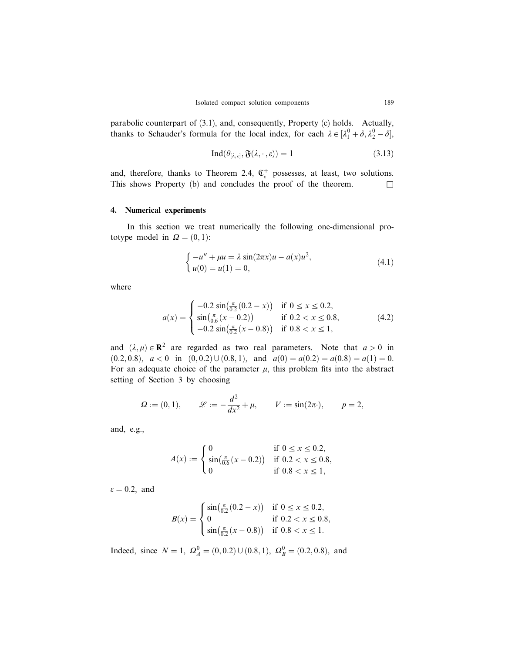parabolic counterpart of (3.1), and, consequently, Property (c) holds. Actually, thanks to Schauder's formula for the local index, for each  $\lambda \in [\lambda_1^0 + \delta, \lambda_2^0 - \delta]$ ,

$$
\operatorname{Ind}(\theta_{[\lambda,\varepsilon]}, \mathfrak{F}(\lambda,\cdot,\varepsilon)) = 1 \tag{3.13}
$$

and, therefore, thanks to Theorem 2.4,  $\mathfrak{C}_{\varepsilon}^+$  possesses, at least, two solutions. This shows Property (b) and concludes the proof of the theorem.  $\Box$ 

## 4. Numerical experiments

In this section we treat numerically the following one-dimensional prototype model in  $\Omega = (0, 1)$ :

$$
\begin{cases}\n-u'' + \mu u = \lambda \sin(2\pi x)u - a(x)u^2, \\
u(0) = u(1) = 0,\n\end{cases}
$$
\n(4.1)

where

$$
a(x) = \begin{cases} -0.2\sin\left(\frac{\pi}{0.2}(0.2 - x)\right) & \text{if } 0 \le x \le 0.2, \\ \sin\left(\frac{\pi}{0.6}(x - 0.2)\right) & \text{if } 0.2 < x \le 0.8, \\ -0.2\sin\left(\frac{\pi}{0.2}(x - 0.8)\right) & \text{if } 0.8 < x \le 1, \end{cases}
$$
(4.2)

and  $(\lambda, \mu) \in \mathbb{R}^2$  are regarded as two real parameters. Note that  $a > 0$  in  $(0.2, 0.8), a < 0$  in  $(0, 0.2) \cup (0.8, 1),$  and  $a(0) = a(0.2) = a(0.8) = a(1) = 0.$ For an adequate choice of the parameter  $\mu$ , this problem fits into the abstract setting of Section 3 by choosing

$$
\Omega := (0, 1),
$$
  $\mathscr{L} := -\frac{d^2}{dx^2} + \mu,$   $V := \sin(2\pi^2),$   $p = 2,$ 

and, e.g.,

$$
A(x) := \begin{cases} 0 & \text{if } 0 \le x \le 0.2, \\ \sin(\frac{\pi}{0.6}(x - 0.2)) & \text{if } 0.2 < x \le 0.8, \\ 0 & \text{if } 0.8 < x \le 1, \end{cases}
$$

 $\varepsilon = 0.2$ , and

$$
B(x) = \begin{cases} \sin\left(\frac{\pi}{0.2}(0.2 - x)\right) & \text{if } 0 \le x \le 0.2, \\ 0 & \text{if } 0.2 < x \le 0.8, \\ \sin\left(\frac{\pi}{0.2}(x - 0.8)\right) & \text{if } 0.8 < x \le 1. \end{cases}
$$

Indeed, since  $N = 1$ ,  $\Omega_A^0 = (0, 0.2) \cup (0.8, 1)$ ,  $\Omega_B^0 = (0.2, 0.8)$ , and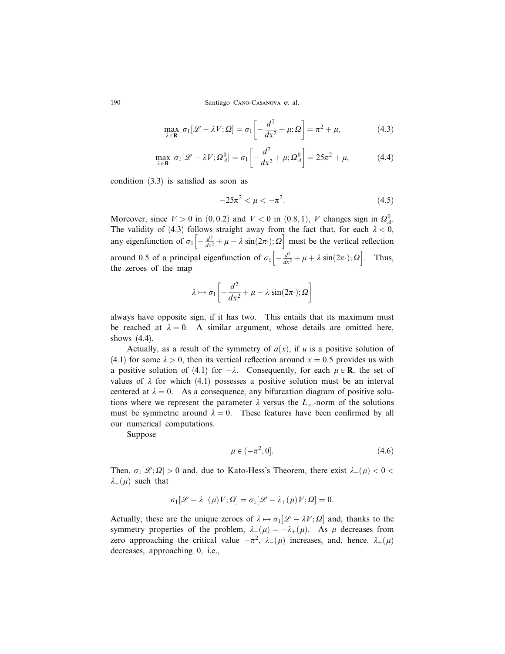$$
\max_{\lambda \in \mathbf{R}} \sigma_1[\mathcal{L} - \lambda V; \Omega] = \sigma_1 \left[ -\frac{d^2}{dx^2} + \mu; \Omega \right] = \pi^2 + \mu,
$$
 (4.3)

$$
\max_{\lambda \in \mathbf{R}} \sigma_1[\mathcal{L} - \lambda V; \Omega_A^0] = \sigma_1 \left[ -\frac{d^2}{dx^2} + \mu; \Omega_A^0 \right] = 25\pi^2 + \mu,
$$
 (4.4)

condition (3.3) is satisfied as soon as

$$
-25\pi^2 < \mu < -\pi^2. \tag{4.5}
$$

Moreover, since  $V > 0$  in  $(0, 0.2)$  and  $V < 0$  in  $(0.8, 1)$ , V changes sign in  $\Omega_A^0$ . The validity of (4.3) follows straight away from the fact that, for each  $\lambda < 0$ , any eigenfunction of  $\sigma_1 \left[ -\frac{d^2}{dx^2} + \mu - \lambda \sin(2\pi \cdot); \Omega \right]$  must be the vertical reflection around 0.5 of a principal eigenfunction of  $\sigma_1 \left[ -\frac{d^2}{dx^2} + \mu + \lambda \sin(2\pi \cdot); \Omega \right]$ . Thus, the zeroes of the map

$$
\lambda \mapsto \sigma_1 \left[ -\frac{d^2}{dx^2} + \mu - \lambda \sin(2\pi \cdot); \Omega \right]
$$

always have opposite sign, if it has two. This entails that its maximum must be reached at  $\lambda = 0$ . A similar argument, whose details are omitted here, shows (4.4).

Actually, as a result of the symmetry of  $a(x)$ , if u is a positive solution of (4.1) for some  $\lambda > 0$ , then its vertical reflection around  $x = 0.5$  provides us with a positive solution of (4.1) for  $-\lambda$ . Consequently, for each  $\mu \in \mathbb{R}$ , the set of values of  $\lambda$  for which (4.1) possesses a positive solution must be an interval centered at  $\lambda = 0$ . As a consequence, any bifurcation diagram of positive solutions where we represent the parameter  $\lambda$  versus the  $L_{\infty}$ -norm of the solutions must be symmetric around  $\lambda = 0$ . These features have been confirmed by all our numerical computations.

Suppose

$$
\mu \in (-\pi^2, 0].\tag{4.6}
$$

Then,  $\sigma_1[\mathcal{L}; \Omega] > 0$  and, due to Kato-Hess's Theorem, there exist  $\lambda_-(\mu) < 0$  $\lambda_+(\mu)$  such that

$$
\sigma_1[\mathscr{L} - \lambda_-(\mu)V;\Omega] = \sigma_1[\mathscr{L} - \lambda_+(\mu)V;\Omega] = 0.
$$

Actually, these are the unique zeroes of  $\lambda \mapsto \sigma_1[\mathscr{L} - \lambda V; \Omega]$  and, thanks to the symmetry properties of the problem,  $\lambda_-(\mu) = -\lambda_+(\mu)$ . As  $\mu$  decreases from zero approaching the critical value  $-\pi^2$ ,  $\lambda_-(\mu)$  increases, and, hence,  $\lambda_+(\mu)$ decreases, approaching 0, i.e.,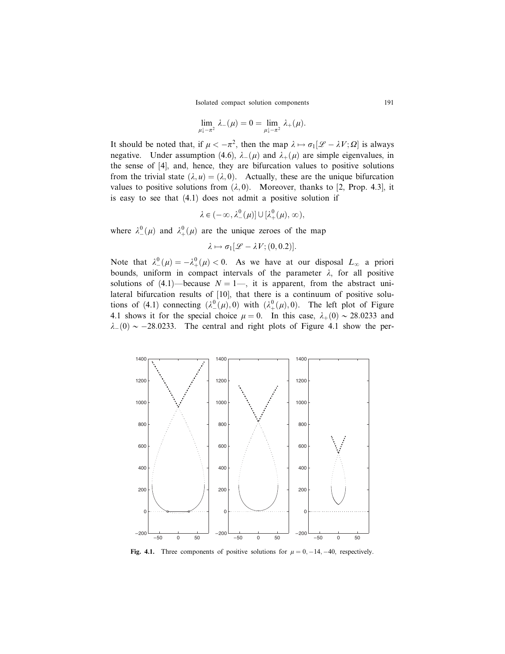$$
\lim_{\mu\downarrow -\pi^2} \lambda_-(\mu) = 0 = \lim_{\mu\downarrow -\pi^2} \lambda_+(\mu).
$$

It should be noted that, if  $\mu < -\pi^2$ , then the map  $\lambda \mapsto \sigma_1[\mathscr{L} - \lambda V; \Omega]$  is always negative. Under assumption (4.6),  $\lambda_{-}(\mu)$  and  $\lambda_{+}(\mu)$  are simple eigenvalues, in the sense of [4], and, hence, they are bifurcation values to positive solutions from the trivial state  $(\lambda, u) = (\lambda, 0)$ . Actually, these are the unique bifurcation values to positive solutions from  $(\lambda, 0)$ . Moreover, thanks to [2, Prop. 4.3], it is easy to see that (4.1) does not admit a positive solution if

$$
\lambda \in (-\infty, \lambda^0_-(\mu)] \cup [\lambda^0_+(\mu), \infty),
$$

where  $\lambda^0_-(\mu)$  and  $\lambda^0_+(\mu)$  are the unique zeroes of the map

$$
\lambda \mapsto \sigma_1[\mathscr{L} - \lambda V; (0, 0.2)].
$$

Note that  $\lambda^0_-(\mu) = -\lambda^0_+(\mu) < 0$ . As we have at our disposal  $L_\infty$  a priori bounds, uniform in compact intervals of the parameter  $\lambda$ , for all positive solutions of (4.1)—because  $N = 1$ —, it is apparent, from the abstract unilateral bifurcation results of [10], that there is a continuum of positive solutions of (4.1) connecting  $(\lambda^0_+(\mu), 0)$  with  $(\lambda^0_+(\mu), 0)$ . The left plot of Figure 4.1 shows it for the special choice  $\mu = 0$ . In this case,  $\lambda_+(0) \sim 28.0233$  and  $\lambda$ <sub>-</sub>(0)  $\sim$  -28.0233. The central and right plots of Figure 4.1 show the per-



Fig. 4.1. Three components of positive solutions for  $\mu = 0, -14, -40$ , respectively.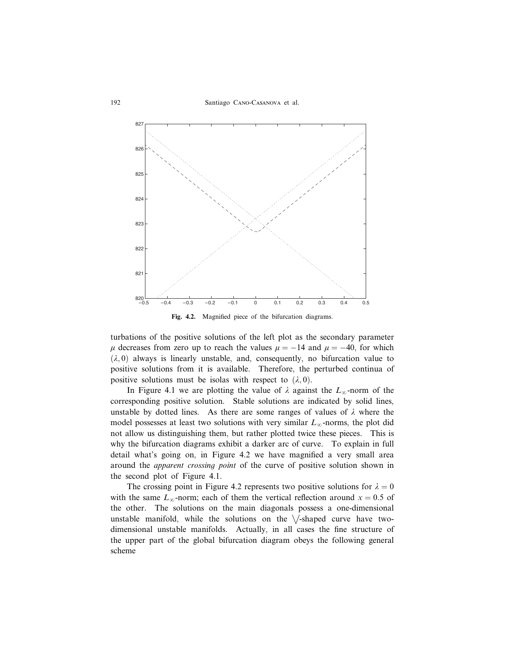

Fig. 4.2. Magnified piece of the bifurcation diagrams.

turbations of the positive solutions of the left plot as the secondary parameter  $\mu$  decreases from zero up to reach the values  $\mu = -14$  and  $\mu = -40$ , for which  $(\lambda, 0)$  always is linearly unstable, and, consequently, no bifurcation value to positive solutions from it is available. Therefore, the perturbed continua of positive solutions must be isolas with respect to  $(\lambda, 0)$ .

In Figure 4.1 we are plotting the value of  $\lambda$  against the  $L_{\infty}$ -norm of the corresponding positive solution. Stable solutions are indicated by solid lines, unstable by dotted lines. As there are some ranges of values of  $\lambda$  where the model possesses at least two solutions with very similar  $L_{\infty}$ -norms, the plot did not allow us distinguishing them, but rather plotted twice these pieces. This is why the bifurcation diagrams exhibit a darker arc of curve. To explain in full detail what's going on, in Figure 4.2 we have magnified a very small area around the *apparent crossing point* of the curve of positive solution shown in the second plot of Figure 4.1.

The crossing point in Figure 4.2 represents two positive solutions for  $\lambda = 0$ with the same  $L_{\infty}$ -norm; each of them the vertical reflection around  $x = 0.5$  of the other. The solutions on the main diagonals possess a one-dimensional unstable manifold, while the solutions on the  $\setminus$ -shaped curve have twodimensional unstable manifolds. Actually, in all cases the fine structure of the upper part of the global bifurcation diagram obeys the following general scheme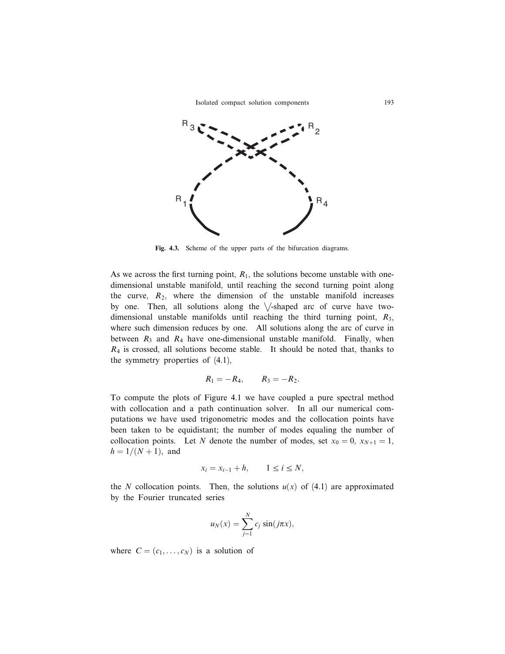

Fig. 4.3. Scheme of the upper parts of the bifurcation diagrams.

As we across the first turning point,  $R_1$ , the solutions become unstable with onedimensional unstable manifold, until reaching the second turning point along the curve,  $R_2$ , where the dimension of the unstable manifold increases by one. Then, all solutions along the  $\sqrt{\ }$ -shaped arc of curve have twodimensional unstable manifolds until reaching the third turning point,  $R_3$ , where such dimension reduces by one. All solutions along the arc of curve in between  $R_3$  and  $R_4$  have one-dimensional unstable manifold. Finally, when  $R_4$  is crossed, all solutions become stable. It should be noted that, thanks to the symmetry properties of (4.1),

$$
R_1 = -R_4
$$
,  $R_3 = -R_2$ .

To compute the plots of Figure 4.1 we have coupled a pure spectral method with collocation and a path continuation solver. In all our numerical computations we have used trigonometric modes and the collocation points have been taken to be equidistant; the number of modes equaling the number of collocation points. Let N denote the number of modes, set  $x_0 = 0$ ,  $x_{N+1} = 1$ ,  $h = 1/(N + 1)$ , and

$$
x_i = x_{i-1} + h, \qquad 1 \le i \le N,
$$

the N collocation points. Then, the solutions  $u(x)$  of (4.1) are approximated by the Fourier truncated series

$$
u_N(x) = \sum_{j=1}^N c_j \sin(j\pi x),
$$

where  $C = (c_1, \ldots, c_N)$  is a solution of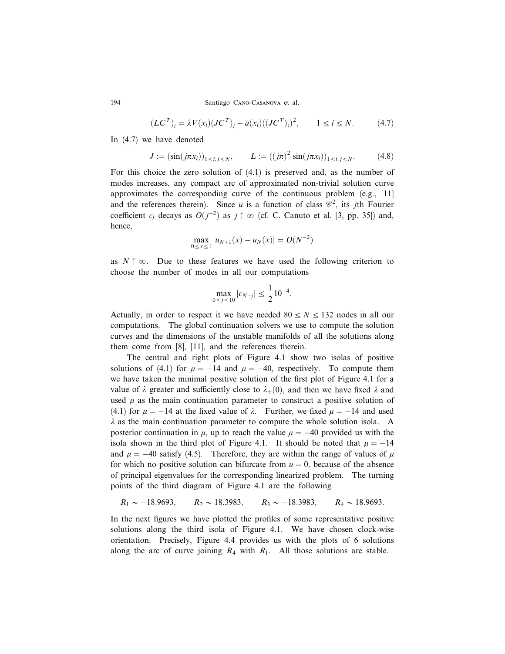$$
(LCT)i = \lambda V(xi)(JCT)i - a(xi)((JCT)i)2, 1 \le i \le N.
$$
 (4.7)

In (4.7) we have denoted

$$
J := (\sin(j\pi x_i))_{1 \le i,j \le N}, \qquad L := ((j\pi)^2 \sin(j\pi x_i))_{1 \le i,j \le N}.
$$
 (4.8)

For this choice the zero solution of (4.1) is preserved and, as the number of modes increases, any compact arc of approximated non-trivial solution curve approximates the corresponding curve of the continuous problem (e.g., [11] and the references therein). Since u is a function of class  $\mathscr{C}^2$ , its jth Fourier coefficient  $c_j$  decays as  $O(j^{-2})$  as  $j \uparrow \infty$  (cf. C. Canuto et al. [3, pp. 35]) and, hence,

$$
\max_{0 \le x \le 1} |u_{N+1}(x) - u_N(x)| = O(N^{-2})
$$

as  $N \uparrow \infty$ . Due to these features we have used the following criterion to choose the number of modes in all our computations

$$
\max_{0 \le j \le 10} |c_{N-j}| \le \frac{1}{2} 10^{-4}.
$$

Actually, in order to respect it we have needed  $80 \le N \le 132$  nodes in all our computations. The global continuation solvers we use to compute the solution curves and the dimensions of the unstable manifolds of all the solutions along them come from [8], [11], and the references therein.

The central and right plots of Figure 4.1 show two isolas of positive solutions of (4.1) for  $\mu = -14$  and  $\mu = -40$ , respectively. To compute them we have taken the minimal positive solution of the first plot of Figure 4.1 for a value of  $\lambda$  greater and sufficiently close to  $\lambda_{+}(0)$ , and then we have fixed  $\lambda$  and used  $\mu$  as the main continuation parameter to construct a positive solution of (4.1) for  $\mu = -14$  at the fixed value of  $\lambda$ . Further, we fixed  $\mu = -14$  and used  $\lambda$  as the main continuation parameter to compute the whole solution isola. A posterior continuation in  $\mu$ , up to reach the value  $\mu = -40$  provided us with the isola shown in the third plot of Figure 4.1. It should be noted that  $\mu = -14$ and  $\mu = -40$  satisfy (4.5). Therefore, they are within the range of values of  $\mu$ for which no positive solution can bifurcate from  $u = 0$ , because of the absence of principal eigenvalues for the corresponding linearized problem. The turning points of the third diagram of Figure 4.1 are the following

$$
R_1 \sim -18.9693
$$
,  $R_2 \sim 18.3983$ ,  $R_3 \sim -18.3983$ ,  $R_4 \sim 18.9693$ .

In the next figures we have plotted the profiles of some representative positive solutions along the third isola of Figure 4.1. We have chosen clock-wise orientation. Precisely, Figure 4.4 provides us with the plots of 6 solutions along the arc of curve joining  $R_4$  with  $R_1$ . All those solutions are stable.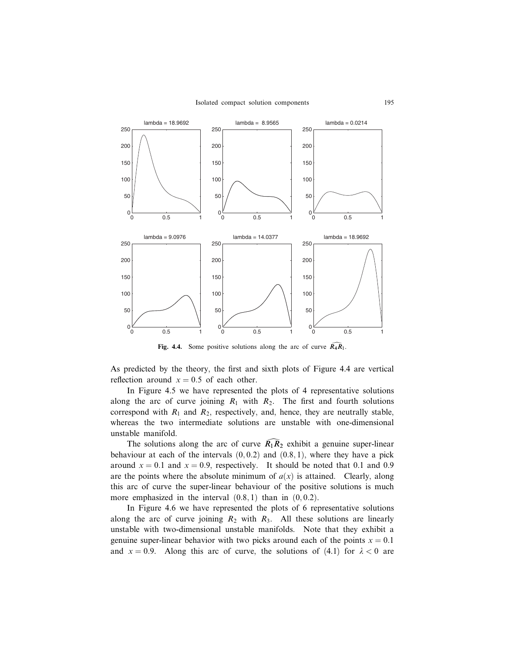

Fig. 4.4. Some positive solutions along the arc of curve  $\widehat{R_4R_1}$ .

As predicted by the theory, the first and sixth plots of Figure 4.4 are vertical reflection around  $x = 0.5$  of each other.

In Figure 4.5 we have represented the plots of 4 representative solutions along the arc of curve joining  $R_1$  with  $R_2$ . The first and fourth solutions correspond with  $R_1$  and  $R_2$ , respectively, and, hence, they are neutrally stable, whereas the two intermediate solutions are unstable with one-dimensional unstable manifold.

The solutions along the arc of curve  $\overline{R}_1\overline{R}_2$  exhibit a genuine super-linear behaviour at each of the intervals  $(0, 0.2)$  and  $(0.8, 1)$ , where they have a pick around  $x = 0.1$  and  $x = 0.9$ , respectively. It should be noted that 0.1 and 0.9 are the points where the absolute minimum of  $a(x)$  is attained. Clearly, along this arc of curve the super-linear behaviour of the positive solutions is much more emphasized in the interval  $(0.8, 1)$  than in  $(0, 0.2)$ .

In Figure 4.6 we have represented the plots of 6 representative solutions along the arc of curve joining  $R_2$  with  $R_3$ . All these solutions are linearly unstable with two-dimensional unstable manifolds. Note that they exhibit a genuine super-linear behavior with two picks around each of the points  $x = 0.1$ and  $x = 0.9$ . Along this arc of curve, the solutions of (4.1) for  $\lambda < 0$  are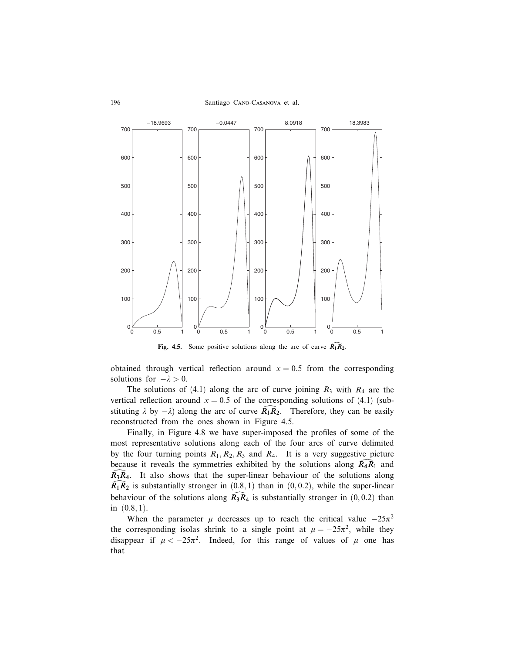

Fig. 4.5. Some positive solutions along the arc of curve  $\widehat{R_1R_2}$ .

obtained through vertical reflection around  $x = 0.5$  from the corresponding solutions for  $-\lambda > 0$ .

The solutions of (4.1) along the arc of curve joining  $R_3$  with  $R_4$  are the vertical reflection around  $x = 0.5$  of the corresponding solutions of (4.1) (substituting  $\lambda$  by  $-\lambda$ ) along the arc of curve  $R_1R_2$ . Therefore, they can be easily reconstructed from the ones shown in Figure 4.5.

Finally, in Figure 4.8 we have super-imposed the profiles of some of the most representative solutions along each of the four arcs of curve delimited by the four turning points  $R_1, R_2, R_3$  and  $R_4$ . It is a very suggestive picture because it reveals the symmetries exhibited by the solutions along  $\overline{R}_4R_1$  and  $R_3R_4$ . It also shows that the super-linear behaviour of the solutions along  $\widehat{R}_1\widehat{R}_2$  is substantially stronger in  $(0.8, 1)$  than in  $(0, 0.2)$ , while the super-linear behaviour of the solutions along  $\mathbb{R}_3 \mathbb{R}_4$  is substantially stronger in  $(0, 0.2)$  than in  $(0.8, 1)$ .

When the parameter  $\mu$  decreases up to reach the critical value  $-25\pi^2$ the corresponding isolas shrink to a single point at  $\mu = -25\pi^2$ , while they disappear if  $\mu < -25\pi^2$ . Indeed, for this range of values of  $\mu$  one has that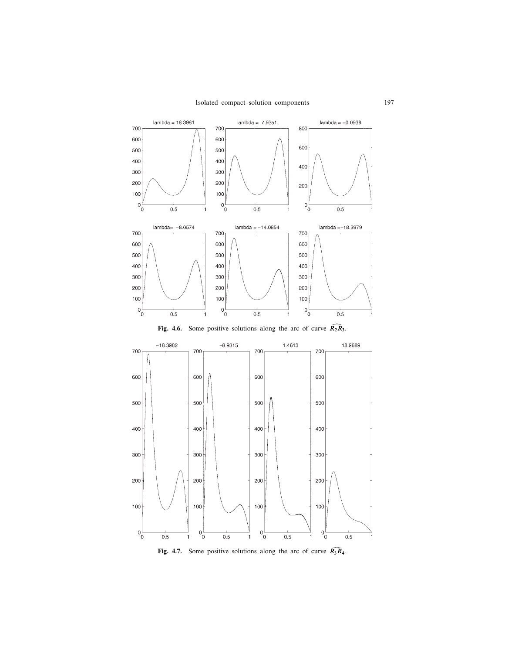

Fig. 4.7. Some positive solutions along the arc of curve  $\widehat{R_3R_4}$ .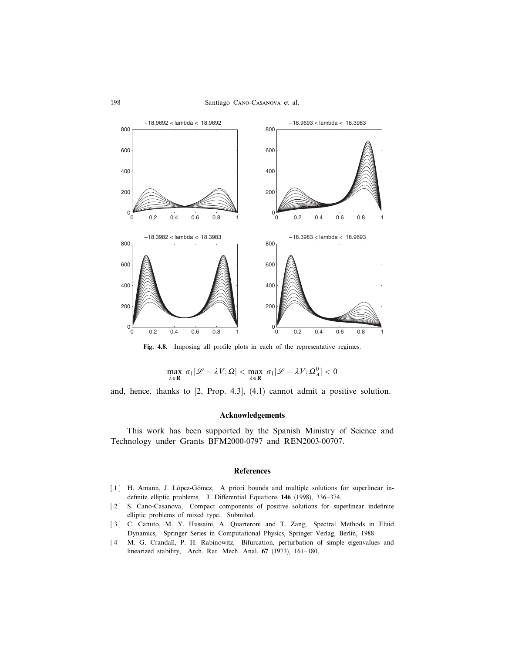

Fig. 4.8. Imposing all profile plots in each of the representative regimes.

$$
\max_{\lambda \in \mathbf{R}} \sigma_1[\mathcal{L} - \lambda V; \Omega] < \max_{\lambda \in \mathbf{R}} \sigma_1[\mathcal{L} - \lambda V; \Omega_A^0] < 0
$$

and, hence, thanks to [2, Prop. 4.3], (4.1) cannot admit a positive solution.

### Acknowledgements

This work has been supported by the Spanish Ministry of Science and Technology under Grants BFM2000-0797 and REN2003-00707.

## **References**

- [1] H. Amann, J. López-Gómez, A priori bounds and multiple solutions for superlinear indefinite elliptic problems, J. Differential Equations 146 (1998), 336–374.
- [2] S. Cano-Casanova, Compact components of positive solutions for superlinear indefinite elliptic problems of mixed type. Submited.
- [ 3 ] C. Canuto, M. Y. Hussaini, A. Quarteroni and T. Zang, Spectral Methods in Fluid Dynamics, Springer Series in Computational Physics, Springer Verlag, Berlin, 1988.
- [4] M. G. Crandall, P. H. Rabinowitz, Bifurcation, perturbation of simple eigenvalues and linearized stability, Arch. Rat. Mech. Anal. 67 (1973), 161–180.